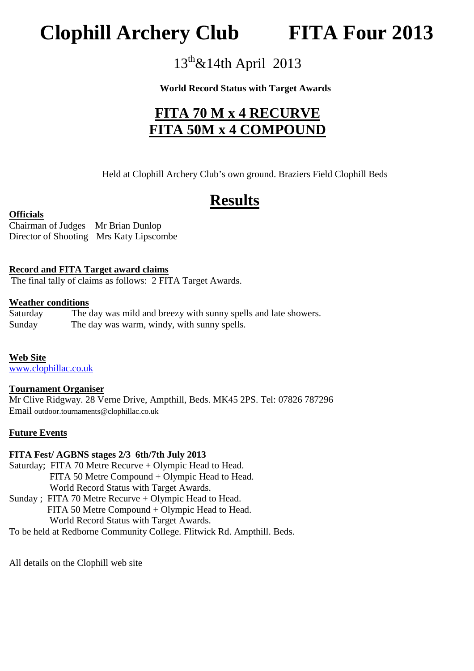**Clophill Archery Club FITA Four 2013** 

## 13th&14th April 2013

### **World Record Status with Target Awards**

## **FITA 70 M x 4 RECURVE FITA 50M x 4 COMPOUND**

Held at Clophill Archery Club's own ground. Braziers Field Clophill Beds

# **Results**

#### **Officials**

Chairman of Judges Mr Brian Dunlop Director of Shooting Mrs Katy Lipscombe

#### **Record and FITA Target award claims**

The final tally of claims as follows: 2 FITA Target Awards.

#### **Weather conditions**

Saturday The day was mild and breezy with sunny spells and late showers. Sunday The day was warm, windy, with sunny spells.

**Web Site** www.clophillac.co.uk

#### **Tournament Organiser**

Mr Clive Ridgway. 28 Verne Drive, Ampthill, Beds. MK45 2PS. Tel: 07826 787296 Email outdoor.tournaments@clophillac.co.uk

#### **Future Events**

### **FITA Fest/ AGBNS stages 2/3 6th/7th July 2013**

Saturday; FITA 70 Metre Recurve + Olympic Head to Head. FITA 50 Metre Compound + Olympic Head to Head. World Record Status with Target Awards. Sunday ; FITA 70 Metre Recurve + Olympic Head to Head. FITA 50 Metre Compound + Olympic Head to Head. World Record Status with Target Awards.

To be held at Redborne Community College. Flitwick Rd. Ampthill. Beds.

All details on the Clophill web site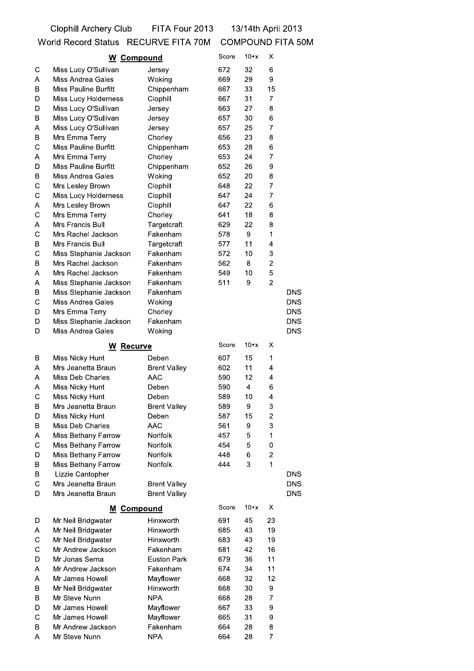**Clophill Archery Club** 

FITA Four 2013

13/14th April 2013

World Record Status RECURVE FITA 70M COMPOUND FITA 50M

|              | W Compound                                         |                                            | Score | $10+x$ | х                       |                          |
|--------------|----------------------------------------------------|--------------------------------------------|-------|--------|-------------------------|--------------------------|
| С            | Miss Lucy O'Sullivan                               | Jersey                                     | 672   | 32     | 6                       |                          |
| A            | Miss Andrea Gales                                  | Woking                                     | 669   | 29     | 9                       |                          |
| в            | Miss Pauline Burfitt                               | Chippenham                                 | 667   | 33     | 15                      |                          |
| D            | Miss Lucy Holderness                               | Clophill                                   | 667   | 31     | 7                       |                          |
| D            | Miss Lucy O'Sullivan                               | Jersey                                     | 663   | 27     | 8                       |                          |
| B            | Miss Lucy O'Sullivan                               | Jersey                                     | 657   | 30     | 6                       |                          |
| A            | Miss Lucy O'Sullivan                               | Jersey                                     | 657   | 25     | 7                       |                          |
| в            | Mrs Emma Terry                                     | Chorley                                    | 656   | 23     | 8                       |                          |
| C            | <b>Miss Pauline Burfitt</b>                        | Chippenham                                 | 653   | 28     | 6                       |                          |
| A            | Mrs Emma Terry                                     | Chorley                                    | 653   | 24     | 7                       |                          |
| D            | <b>Miss Pauline Burfitt</b>                        | Chippenham                                 | 652   | 26     | 9                       |                          |
| B            | <b>Miss Andrea Gales</b>                           | Woking                                     | 652   | 20     | 8                       |                          |
| С            | Mrs Lesley Brown                                   | Clophill                                   | 648   | 22     | 7                       |                          |
| C            | Miss Lucy Holderness                               | Clophill                                   | 647   | 24     | 7                       |                          |
| Α            | Mrs Lesley Brown                                   | Clophill                                   | 647   | 22     | 6                       |                          |
| C            | Mrs Emma Terry                                     | Chorley                                    | 641   | 18     | 8                       |                          |
| A            | Mrs Francis Bull                                   | Targetcraft                                | 629   | 22     | 8                       |                          |
| C            | Mrs Rachel Jackson                                 | Fakenham                                   | 578   | 9      | 1                       |                          |
| в            | Mrs Francis Bull                                   | Targetcraft                                | 577   | 11     | 4                       |                          |
| C            | Miss Stephanie Jackson                             | Fakenham                                   | 572   | 10     | 3                       |                          |
| в            | Mrs Rachel Jackson                                 | Fakenham                                   | 562   | 8      | $\overline{2}$          |                          |
| A            | Mrs Rachel Jackson                                 | Fakenham                                   | 549   | 10     | 5                       |                          |
| Α            | Miss Stephanie Jackson                             | Fakenham                                   | 511   | 9      | $\overline{c}$          |                          |
| в            | Miss Stephanie Jackson                             | Fakenham                                   |       |        |                         | <b>DNS</b>               |
| C            | <b>Miss Andrea Gales</b>                           | Woking                                     |       |        |                         | DNS.                     |
| D<br>D       | Mrs Emma Terry                                     | Chorley<br>Fakenham                        |       |        |                         | <b>DNS</b><br><b>DNS</b> |
| D            | Miss Stephanie Jackson<br><b>Miss Andrea Gales</b> | Woking                                     |       |        |                         | <b>DNS</b>               |
|              |                                                    |                                            |       |        |                         |                          |
|              | W Recurve                                          |                                            | Score | $10+x$ | х                       |                          |
| в            | Miss Nicky Hunt                                    | Deben                                      | 607   | 15     | 1                       |                          |
| A            | Mrs Jeanetta Braun                                 | <b>Brent Valley</b>                        | 602   | 11     | 4                       |                          |
| Α            | <b>Miss Deb Charles</b>                            | <b>AAC</b>                                 | 590   | 12     | 4                       |                          |
| A            | Miss Nicky Hunt                                    | Deben                                      | 590   | 4      | 6                       |                          |
| C            | Miss Nicky Hunt                                    | Deben                                      | 589   | 10     | 4                       |                          |
| B            | Mrs Jeanetta Braun                                 | <b>Brent Valley</b>                        | 589   | 9      | 3                       |                          |
| D            | Miss Nicky Hunt                                    | Deben                                      | 587   | 15     | 2                       |                          |
| В            | Miss Deb Charles                                   | <b>AAC</b>                                 | 561   | 9      | 3                       |                          |
| Α            | Miss Bethany Farrow                                | Norlfolk                                   | 457   | 5      | 1                       |                          |
| $\mathsf{C}$ | Miss Bethany Farrow                                | Norlfolk                                   | 454   | 5      | 0                       |                          |
| D            | Miss Bethany Farrow                                | Norlfolk                                   | 448   | 6      | $\overline{\mathbf{c}}$ |                          |
| в            | Miss Bethany Farrow                                | Norlfolk                                   | 444   | 3      | 1                       |                          |
| В<br>C       | Lizzie Cantopher<br>Mrs Jeanetta Braun             |                                            |       |        |                         | <b>DNS</b><br><b>DNS</b> |
| D            | Mrs Jeanetta Braun                                 | <b>Brent Valley</b><br><b>Brent Valley</b> |       |        |                         | <b>DNS</b>               |
|              |                                                    |                                            |       |        |                         |                          |
|              | Compound<br>м                                      |                                            | Score | $10+x$ | х                       |                          |
| D            | Mr Neil Bridgwater                                 | Hinxworth                                  | 691   | 45     | 23                      |                          |
| Α            | Mr Neil Bridgwater                                 | Hinxworth                                  | 685   | 43     | 19                      |                          |
| C            | Mr Neil Bridgwater                                 | Hinxworth                                  | 683   | 43     | 19                      |                          |
| C            | Mr Andrew Jackson                                  | Fakenham                                   | 681   | 42     | 16                      |                          |
| D            | Mr Jonas Serna                                     | <b>Euston Park</b>                         | 679   | 36     | 11                      |                          |
| Α            | Mr Andrew Jackson                                  | Fakenham                                   | 674   | 34     | 11                      |                          |
| Α            | Mr James Howell                                    | Mayflower                                  | 668   | 32     | 12                      |                          |
| В            | Mr Neil Bridgwater                                 | Hinxworth                                  | 668   | 30     | 9                       |                          |
| В            | Mr Steve Nunn                                      | <b>NPA</b>                                 | 668   | 28     | $\overline{7}$          |                          |
| D            | Mr James Howell                                    | Mayflower                                  | 667   | 33     | 9                       |                          |
| $\mathsf{C}$ | Mr James Howell                                    | Mayflower                                  | 665   | 31     | 9                       |                          |
| В            | Mr Andrew Jackson                                  | Fakenham                                   | 664   | 28     | 8                       |                          |
| Α            | Mr Steve Nunn                                      | <b>NPA</b>                                 | 664   | 28     | 7                       |                          |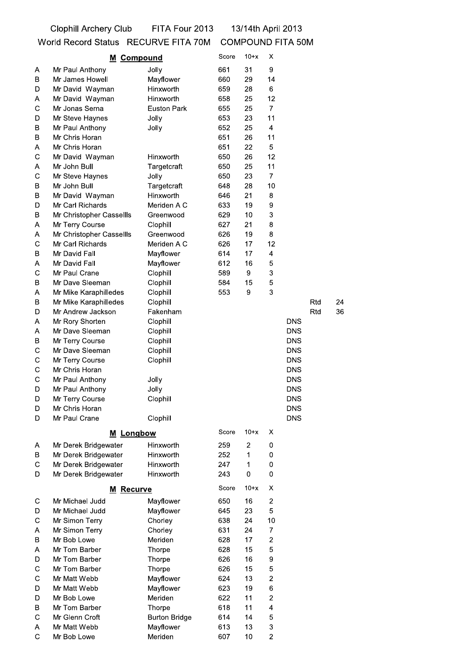Clophill Archery Club

FITA Four 2013

13/14th April 2013

World Record Status RECURVE FITA 70M COMPOUND FITA 50M

|                  | M Compound                     |                                   | Score      | $10+x$   | х                       |            |     |    |
|------------------|--------------------------------|-----------------------------------|------------|----------|-------------------------|------------|-----|----|
| Α                | Mr Paul Anthony                | Jolly                             | 661        | 31       | 9                       |            |     |    |
| в                | Mr James Howell                | Mayflower                         | 660        | 29       | 14                      |            |     |    |
| D                | Mr David Wayman                | Hinxworth                         | 659        | 28       | 6                       |            |     |    |
| A                | Mr David Wayman                | Hinxworth                         | 658        | 25       | 12                      |            |     |    |
| С                | Mr Jonas Serna                 | <b>Euston Park</b>                | 655        | 25       | $\overline{7}$          |            |     |    |
| D                | Mr Steve Haynes                | Jolly                             | 653        | 23       | 11                      |            |     |    |
| в                | Mr Paul Anthony                | Jolly                             | 652        | 25       | $\overline{4}$          |            |     |    |
| в                | Mr Chris Horan                 |                                   | 651        | 26       | 11                      |            |     |    |
| A                | Mr Chris Horan                 |                                   | 651        | 22       | 5                       |            |     |    |
| С                | Mr David Wayman                | Hinxworth                         | 650        | 26       | 12                      |            |     |    |
| A                | Mr John Bull                   | Targetcraft                       | 650        | 25       | 11                      |            |     |    |
| С                | Mr Steve Haynes                | Jolly                             | 650        | 23       | $\overline{7}$          |            |     |    |
| В                | Mr John Bull                   | Targetcraft                       | 648        | 28       | 10                      |            |     |    |
| В                | Mr David Wayman                | Hinxworth                         | 646        | 21       | 8                       |            |     |    |
| D                | Mr Carl Richards               | Meriden A C                       | 633        | 19       | 9                       |            |     |    |
| В                | Mr Christopher Cassellls       | Greenwood                         | 629        | 10       | 3                       |            |     |    |
| A                | Mr Terry Course                | Clophill                          | 627        | 21       | 8                       |            |     |    |
| A                | Mr Christopher Cassellls       | Greenwood                         | 626        | 19       | 8                       |            |     |    |
| С                | Mr Carl Richards               | Meriden A C                       | 626        | 17       | 12                      |            |     |    |
| в                | Mr David Fall                  | Mayflower                         | 614        | 17       | 4                       |            |     |    |
| A                | Mr David Fall<br>Mr Paul Crane | Mayflower                         | 612<br>589 | 16<br>9  | 5<br>3                  |            |     |    |
| С<br>В           | Mr Dave Sleeman                | Clophill<br>Clophill              | 584        | 15       | 5                       |            |     |    |
| A                | Mr Mike Karaphilledes          | Clophill                          | 553        | 9        | 3                       |            |     |    |
| в                | Mr Mike Karaphilledes          | Clophill                          |            |          |                         |            | Rtd | 24 |
| D                | Mr Andrew Jackson              | Fakenham                          |            |          |                         |            | Rtd | 36 |
| Α                | Mr Rory Shorten                | Clophill                          |            |          |                         | <b>DNS</b> |     |    |
| Α                | Mr Dave Sleeman                | Clophill                          |            |          |                         | <b>DNS</b> |     |    |
| в                | Mr Terry Course                | Clophill                          |            |          |                         | <b>DNS</b> |     |    |
| С                | Mr Dave Sleeman                | Clophill                          |            |          |                         | <b>DNS</b> |     |    |
| С                | Mr Terry Course                | Clophill                          |            |          |                         | <b>DNS</b> |     |    |
| С                | Mr Chris Horan                 |                                   |            |          |                         | <b>DNS</b> |     |    |
| С                | Mr Paul Anthony                | Jolly                             |            |          |                         | <b>DNS</b> |     |    |
| D                | Mr Paul Anthony                | Jolly                             |            |          |                         | <b>DNS</b> |     |    |
| D                | Mr Terry Course                | Clophill                          |            |          |                         | <b>DNS</b> |     |    |
| D                | Mr Chris Horan                 |                                   |            |          |                         | <b>DNS</b> |     |    |
| D                | Mr Paul Crane                  | Clophill                          |            |          |                         | <b>DNS</b> |     |    |
|                  | <b>M</b> Longbow               |                                   | Score      | $10+x$   | х                       |            |     |    |
| A                | Mr Derek Bridgewater           | Hinxworth                         | 259        | 2        | 0                       |            |     |    |
| В                | Mr Derek Bridgewater           | Hinxworth                         | 252        | 1        | 0                       |            |     |    |
| С                | Mr Derek Bridgewater           | Hinxworth                         | 247        | 1        | 0                       |            |     |    |
| D                | Mr Derek Bridgewater           | Hinxworth                         | 243        | 0        | 0                       |            |     |    |
| <b>M</b> Recurve |                                |                                   | Score      | $10+x$   | х                       |            |     |    |
| С                | Mr Michael Judd                | Mayflower                         | 650        | 16       | $\overline{\mathbf{c}}$ |            |     |    |
| D                | Mr Michael Judd                | Mayflower                         | 645        | 23       | 5                       |            |     |    |
| С                | Mr Simon Terry                 | Chorley                           | 638        | 24       | 10                      |            |     |    |
| A                | Mr Simon Terry                 | Chorley                           | 631        | 24       | 7                       |            |     |    |
| В                | Mr Bob Lowe                    | Meriden                           | 628        | 17       | $\boldsymbol{2}$        |            |     |    |
| A                | Mr Tom Barber                  | Thorpe                            | 628        | 15       | 5                       |            |     |    |
| D                | Mr Tom Barber                  | Thorpe                            | 626        | 16       | 9                       |            |     |    |
| С                | Mr Tom Barber                  | Thorpe                            | 626        | 15       | 5                       |            |     |    |
| С                | Mr Matt Webb                   | Mayflower                         | 624        | 13       | $\overline{\mathbf{c}}$ |            |     |    |
| D                | Mr Matt Webb                   | Mayflower                         | 623        | 19       | 6                       |            |     |    |
| D                | Mr Bob Lowe                    | Meriden                           | 622        | 11       | $\overline{\mathbf{c}}$ |            |     |    |
| В                | Mr Tom Barber                  | Thorpe                            | 618        | 11<br>14 | 4                       |            |     |    |
| С<br>A           | Mr Glenn Croft<br>Mr Matt Webb | <b>Burton Bridge</b><br>Mayflower | 614<br>613 | 13       | 5<br>3                  |            |     |    |
| С                | Mr Bob Lowe                    | Meriden                           | 607        | 10       | $\overline{\mathbf{c}}$ |            |     |    |